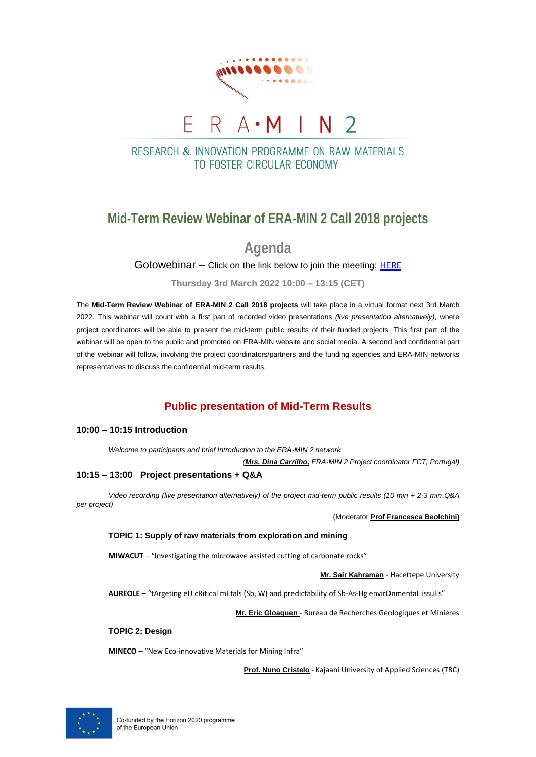

# RESEARCH & INNOVATION PROGRAMME ON RAW MATERIALS

TO FOSTER CIRCUI AR ECONOMY

## **Mid-Term Review Webinar of ERA-MIN 2 Call 2018 projects**

**Agenda**

Gotowebinar – Click on the link below to join the meeting: [HERE](https://attendee.gotowebinar.com/register/6951528546985884431)

**Thursday 3rd March 2022 10:00 – 13:15 (CET)**

The **Mid-Term Review Webinar of ERA-MIN 2 Call 2018 projects** will take place in a virtual format next 3rd March 2022. This webinar will count with a first part of recorded video presentations *(live presentation alternatively)*, where project coordinators will be able to present the mid-term public results of their funded projects. This first part of the webinar will be open to the public and promoted on ERA-MIN website and social media. A second and confidential part of the webinar will follow, involving the project coordinators/partners and the funding agencies and ERA-MIN networks representatives to discuss the confidential mid-term results.

## **Public presentation of Mid-Term Results**

## **10:00 – 10:15 Introduction**

*Welcome to participants and brief Introduction to the ERA-MIN 2 network*

*(Mrs. Dina Carrilho, ERA-MIN 2 Project coordinator FCT, Portugal)* 

## **10:15 – 13:00 Project presentations + Q&A**

*Video recording (live presentation alternatively) of the project mid-term public results (10 min + 2-3 min Q&A per project)*

(Moderator **Prof Francesca Beolchini)**

## **TOPIC 1: Supply of raw materials from exploration and mining**

**MIWACUT** – "Investigating the microwave assisted cutting of carbonate rocks"

**Mr. Sair Kahraman** - Hacettepe University

**AUREOLE** – "tArgeting eU cRitical mEtals (Sb, W) and predictability of Sb-As-Hg envirOnmentaL issuEs"

**Mr. Eric Gloaguen** - Bureau de Recherches Géologiques et Minières

**TOPIC 2: Design**

**MINECO** – "New Eco-innovative Materials for Mining Infra"

**Prof. Nuno Cristelo** - Kajaani University of Applied Sciences (TBC)